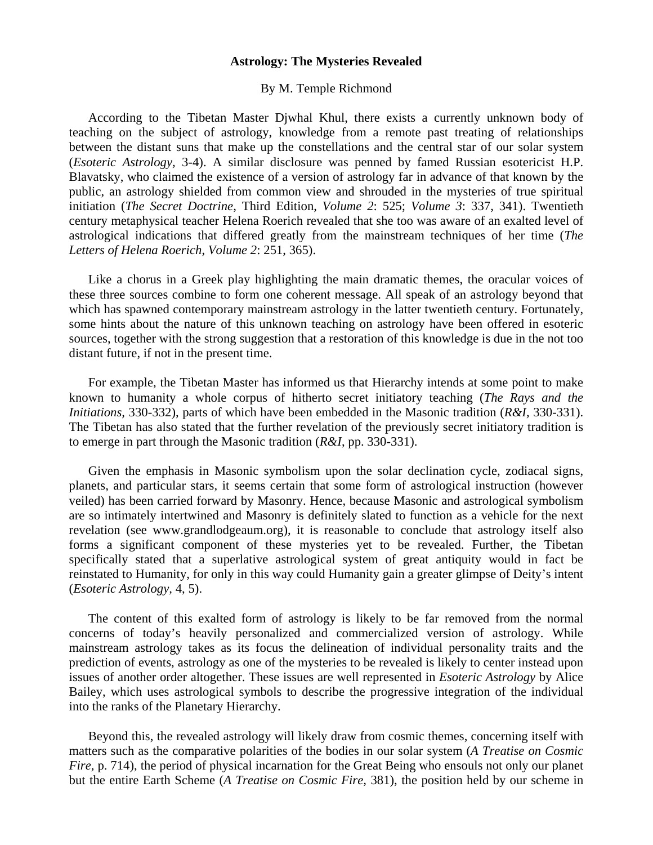## **Astrology: The Mysteries Revealed**

## By M. Temple Richmond

 According to the Tibetan Master Djwhal Khul, there exists a currently unknown body of teaching on the subject of astrology, knowledge from a remote past treating of relationships between the distant suns that make up the constellations and the central star of our solar system (*Esoteric Astrology,* 3-4). A similar disclosure was penned by famed Russian esotericist H.P. Blavatsky, who claimed the existence of a version of astrology far in advance of that known by the public, an astrology shielded from common view and shrouded in the mysteries of true spiritual initiation (*The Secret Doctrine*, Third Edition, *Volume 2*: 525; *Volume 3*: 337, 341). Twentieth century metaphysical teacher Helena Roerich revealed that she too was aware of an exalted level of astrological indications that differed greatly from the mainstream techniques of her time (*The Letters of Helena Roerich*, *Volume 2*: 251, 365).

 Like a chorus in a Greek play highlighting the main dramatic themes, the oracular voices of these three sources combine to form one coherent message. All speak of an astrology beyond that which has spawned contemporary mainstream astrology in the latter twentieth century. Fortunately, some hints about the nature of this unknown teaching on astrology have been offered in esoteric sources, together with the strong suggestion that a restoration of this knowledge is due in the not too distant future, if not in the present time.

 For example, the Tibetan Master has informed us that Hierarchy intends at some point to make known to humanity a whole corpus of hitherto secret initiatory teaching (*The Rays and the Initiations,* 330-332), parts of which have been embedded in the Masonic tradition (*R&I,* 330-331). The Tibetan has also stated that the further revelation of the previously secret initiatory tradition is to emerge in part through the Masonic tradition (*R&I*, pp. 330-331).

 Given the emphasis in Masonic symbolism upon the solar declination cycle, zodiacal signs, planets, and particular stars, it seems certain that some form of astrological instruction (however veiled) has been carried forward by Masonry. Hence, because Masonic and astrological symbolism are so intimately intertwined and Masonry is definitely slated to function as a vehicle for the next revelation (see www.grandlodgeaum.org), it is reasonable to conclude that astrology itself also forms a significant component of these mysteries yet to be revealed. Further, the Tibetan specifically stated that a superlative astrological system of great antiquity would in fact be reinstated to Humanity, for only in this way could Humanity gain a greater glimpse of Deity's intent (*Esoteric Astrology,* 4, 5).

 The content of this exalted form of astrology is likely to be far removed from the normal concerns of today's heavily personalized and commercialized version of astrology. While mainstream astrology takes as its focus the delineation of individual personality traits and the prediction of events, astrology as one of the mysteries to be revealed is likely to center instead upon issues of another order altogether. These issues are well represented in *Esoteric Astrology* by Alice Bailey, which uses astrological symbols to describe the progressive integration of the individual into the ranks of the Planetary Hierarchy.

 Beyond this, the revealed astrology will likely draw from cosmic themes, concerning itself with matters such as the comparative polarities of the bodies in our solar system (*A Treatise on Cosmic Fire*, p. 714), the period of physical incarnation for the Great Being who ensouls not only our planet but the entire Earth Scheme (*A Treatise on Cosmic Fire,* 381), the position held by our scheme in